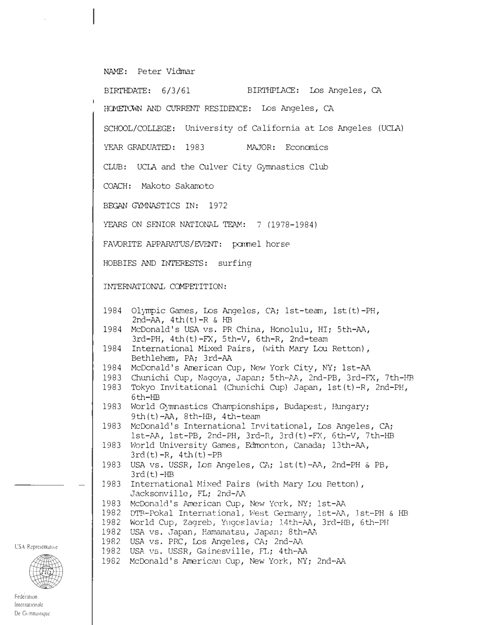NAME: Peter Vidmar

BIRTHDATE:  $6/3/61$  BIRTHPLACE: Los Angeles, CA HOMETOWN AND CURRENT RESIDENCE: Los Angeles, CA SCHOOL/COLLEGE: University of california at Los Angeles (UCLA) YEAR GRADUATED: 1983 MAJOR: Economics CLUB: UCLA and the CUlver City Gymnastics Club COACH: Makoto Sakamoto BEGAN GYMNASTICS IN: 1972 YEARS ON SENIOR NATIONAL TEAM: 7 (1978-1984) FAVORITE APPARATUS/EVENT: parmel horse HOBBIES AND INTERESTS: surfing INTERNATIONAL CCMPETITION: 1984 Olympic Games, Los Angeles, CA; 1st-team, lst(t)-PH,  $2nd-AA$ ,  $4th(t)-R$  & HB 1984 McDonald's USA vs. PR China, Honolulu, HI; 5th-AA, 3rd-PH, 4th(t)-FX, Sth-V, 6th-R, 2nd-team 1984 International Mixed Pairs, (with Mary Lou Retton), Bethlehem, PA; 3rd-AA 1984 McDonald's Arrerican Cup, New York City, NY; 1st-AA 1983 Chunichi Cup, Nagoya, Japan; 5th-AA, 2nd-PB, Jrd-FX, 7th-HB 1983 Tokyo Invitational (Chunichi CUp) Japan, lst(t)-R, 2nd-PH, 1983 World Gymnastics Championships, Budapest, Hungary; 1983 McDonald's International Invitational, Los Angeles, CA; 1983 World University Games, E.drronton, canada; 13th-AA, 1983 USA vs. USSR, Los Angeles, CA; lst(t)-AA, 2nd-PH & PB, 1983 International Mixed Pairs (with Mary Lou Retton), 1983 McDonald's Arrerican cup, New York, NY; 1st-AA 1982 DTR-Pokal International, West Gennany, 1st-AA, 1st-PH & HB 1982 World Cup, Zagreb, Yugoslavia; 14th-AA, 3rd-HE, 6th-PH 1982 1982 1982 1982 McDonald's American Cup, New York, NY; 2nd-AA 6th-HB 9th(t)-AA, 8th-HB, 4th-team 1st-AA., 1st-PB, 2nd-PH, 3rd-R, 3rd(t)-FX, 6th-V, 7th-HB 3rd(t)- $R$ , 4th(t)- $PB$  $3rd(t)$  –HB Jacksonville, FL; 2nd-AA USA vs. Japan, Hamamatsu, Japan; 8th-AA USA vs. PRC, Los Angeles, CA; 2nd-AA USA vs. USSR, Gainesville, FL; 4th-AA

**USA** Representative